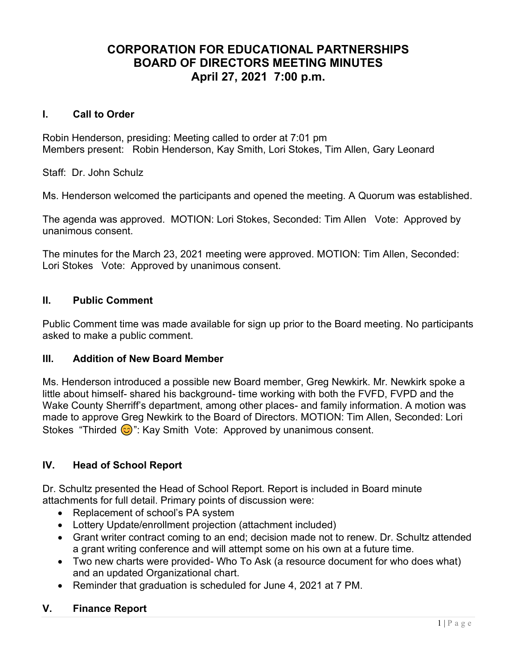# CORPORATION FOR EDUCATIONAL PARTNERSHIPS BOARD OF DIRECTORS MEETING MINUTES April 27, 2021 7:00 p.m.

### I. Call to Order

Robin Henderson, presiding: Meeting called to order at 7:01 pm Members present: Robin Henderson, Kay Smith, Lori Stokes, Tim Allen, Gary Leonard

Staff: Dr. John Schulz

Ms. Henderson welcomed the participants and opened the meeting. A Quorum was established.

The agenda was approved. MOTION: Lori Stokes, Seconded: Tim Allen Vote: Approved by unanimous consent.

The minutes for the March 23, 2021 meeting were approved. MOTION: Tim Allen, Seconded: Lori Stokes Vote: Approved by unanimous consent.

### II. Public Comment

Public Comment time was made available for sign up prior to the Board meeting. No participants asked to make a public comment.

#### III. Addition of New Board Member

Ms. Henderson introduced a possible new Board member, Greg Newkirk. Mr. Newkirk spoke a little about himself- shared his background- time working with both the FVFD, FVPD and the Wake County Sherriff's department, among other places- and family information. A motion was made to approve Greg Newkirk to the Board of Directors. MOTION: Tim Allen, Seconded: Lori Stokes "Thirded  $\odot$ ": Kay Smith Vote: Approved by unanimous consent.

### IV. Head of School Report

Dr. Schultz presented the Head of School Report. Report is included in Board minute attachments for full detail. Primary points of discussion were:

- Replacement of school's PA system
- Lottery Update/enrollment projection (attachment included)
- Grant writer contract coming to an end; decision made not to renew. Dr. Schultz attended a grant writing conference and will attempt some on his own at a future time.
- Two new charts were provided- Who To Ask (a resource document for who does what) and an updated Organizational chart.
- Reminder that graduation is scheduled for June 4, 2021 at 7 PM.

### V. Finance Report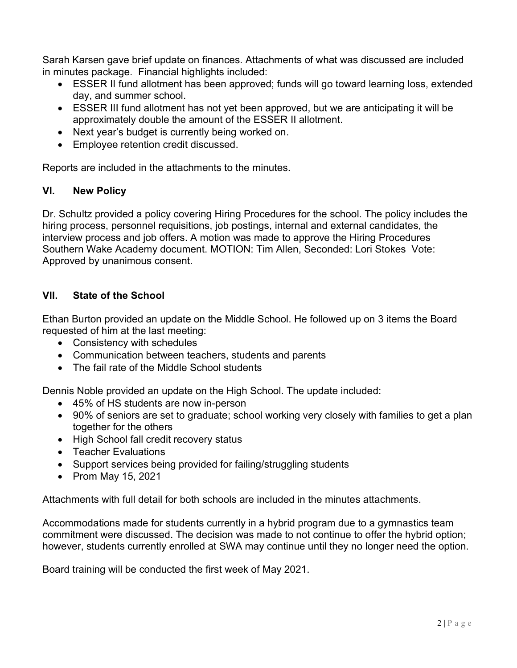Sarah Karsen gave brief update on finances. Attachments of what was discussed are included in minutes package. Financial highlights included:

- ESSER II fund allotment has been approved; funds will go toward learning loss, extended day, and summer school.
- ESSER III fund allotment has not yet been approved, but we are anticipating it will be approximately double the amount of the ESSER II allotment.
- Next year's budget is currently being worked on.
- Employee retention credit discussed.

Reports are included in the attachments to the minutes.

### VI. New Policy

Dr. Schultz provided a policy covering Hiring Procedures for the school. The policy includes the hiring process, personnel requisitions, job postings, internal and external candidates, the interview process and job offers. A motion was made to approve the Hiring Procedures Southern Wake Academy document. MOTION: Tim Allen, Seconded: Lori Stokes Vote: Approved by unanimous consent.

## VII. State of the School

Ethan Burton provided an update on the Middle School. He followed up on 3 items the Board requested of him at the last meeting:

- Consistency with schedules
- Communication between teachers, students and parents
- The fail rate of the Middle School students

Dennis Noble provided an update on the High School. The update included:

- 45% of HS students are now in-person
- 90% of seniors are set to graduate; school working very closely with families to get a plan together for the others
- High School fall credit recovery status
- Teacher Evaluations
- Support services being provided for failing/struggling students
- Prom May 15, 2021

Attachments with full detail for both schools are included in the minutes attachments.

Accommodations made for students currently in a hybrid program due to a gymnastics team commitment were discussed. The decision was made to not continue to offer the hybrid option; however, students currently enrolled at SWA may continue until they no longer need the option.

Board training will be conducted the first week of May 2021.